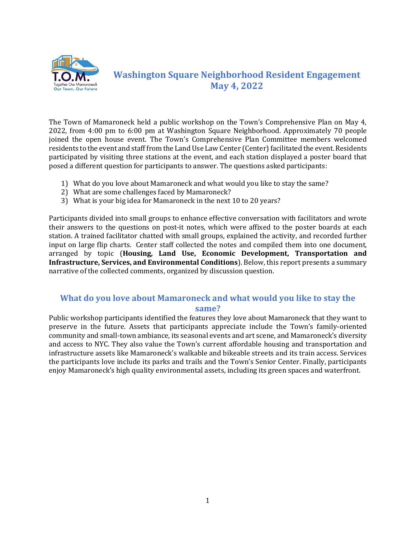

## **Washington Square Neighborhood Resident Engagement May 4, 2022**

The Town of Mamaroneck held a public workshop on the Town's Comprehensive Plan on May 4, 2022, from 4:00 pm to 6:00 pm at Washington Square Neighborhood. Approximately 70 people joined the open house event. The Town's Comprehensive Plan Committee members welcomed residents to the event and staff from the Land Use Law Center (Center)facilitated the event. Residents participated by visiting three stations at the event, and each station displayed a poster board that posed a different question for participants to answer. The questions asked participants:

- 1) What do you love about Mamaroneck and what would you like to stay the same?
- 2) What are some challenges faced by Mamaroneck?
- 3) What is your big idea for Mamaroneck in the next 10 to 20 years?

Participants divided into small groups to enhance effective conversation with facilitators and wrote their answers to the questions on post-it notes, which were affixed to the poster boards at each station. A trained facilitator chatted with small groups, explained the activity, and recorded further input on large flip charts. Center staff collected the notes and compiled them into one document, arranged by topic (**Housing, Land Use, Economic Development, Transportation and Infrastructure, Services, and Environmental Conditions**). Below, this report presents a summary narrative of the collected comments, organized by discussion question.

## **What do you love about Mamaroneck and what would you like to stay the same?**

Public workshop participants identified the features they love about Mamaroneck that they want to preserve in the future. Assets that participants appreciate include the Town's family-oriented community and small-town ambiance, its seasonal events and art scene, and Mamaroneck's diversity and access to NYC. They also value the Town's current affordable housing and transportation and infrastructure assets like Mamaroneck's walkable and bikeable streets and its train access. Services the participants love include its parks and trails and the Town's Senior Center. Finally, participants enjoy Mamaroneck's high quality environmental assets, including its green spaces and waterfront.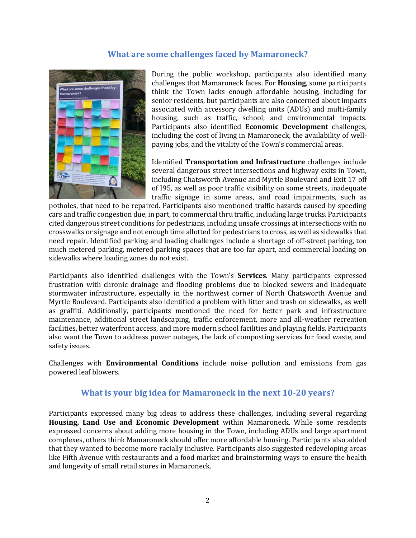## **What are some challenges faced by Mamaroneck?**



During the public workshop, participants also identified many challenges that Mamaroneck faces. For **Housing**, some participants think the Town lacks enough affordable housing, including for senior residents, but participants are also concerned about impacts associated with accessory dwelling units (ADUs) and multi-family housing, such as traffic, school, and environmental impacts. Participants also identified **Economic Development** challenges, including the cost of living in Mamaroneck, the availability of wellpaying jobs, and the vitality of the Town's commercial areas.

Identified **Transportation and Infrastructure** challenges include several dangerous street intersections and highway exits in Town, including Chatsworth Avenue and Myrtle Boulevard and Exit 17 off of I95, as well as poor traffic visibility on some streets, inadequate traffic signage in some areas, and road impairments, such as

potholes, that need to be repaired. Participants also mentioned traffic hazards caused by speeding cars and traffic congestion due, in part, to commercial thru traffic, including large trucks. Participants cited dangerous street conditions for pedestrians, including unsafe crossings at intersections with no crosswalks or signage and not enough time allotted for pedestrians to cross, as well as sidewalks that need repair. Identified parking and loading challenges include a shortage of off-street parking, too much metered parking, metered parking spaces that are too far apart, and commercial loading on sidewalks where loading zones do not exist.

Participants also identified challenges with the Town's **Services**. Many participants expressed frustration with chronic drainage and flooding problems due to blocked sewers and inadequate stormwater infrastructure, especially in the northwest corner of North Chatsworth Avenue and Myrtle Boulevard. Participants also identified a problem with litter and trash on sidewalks, as well as graffiti. Additionally, participants mentioned the need for better park and infrastructure maintenance, additional street landscaping, traffic enforcement, more and all-weather recreation facilities, better waterfront access, and more modern school facilities and playing fields. Participants also want the Town to address power outages, the lack of composting services for food waste, and safety issues.

Challenges with **Environmental Conditions** include noise pollution and emissions from gas powered leaf blowers.

## **What is your big idea for Mamaroneck in the next 10-20 years?**

Participants expressed many big ideas to address these challenges, including several regarding **Housing, Land Use and Economic Development** within Mamaroneck. While some residents expressed concerns about adding more housing in the Town, including ADUs and large apartment complexes, others think Mamaroneck should offer more affordable housing. Participants also added that they wanted to become more racially inclusive. Participants also suggested redeveloping areas like Fifth Avenue with restaurants and a food market and brainstorming ways to ensure the health and longevity of small retail stores in Mamaroneck.